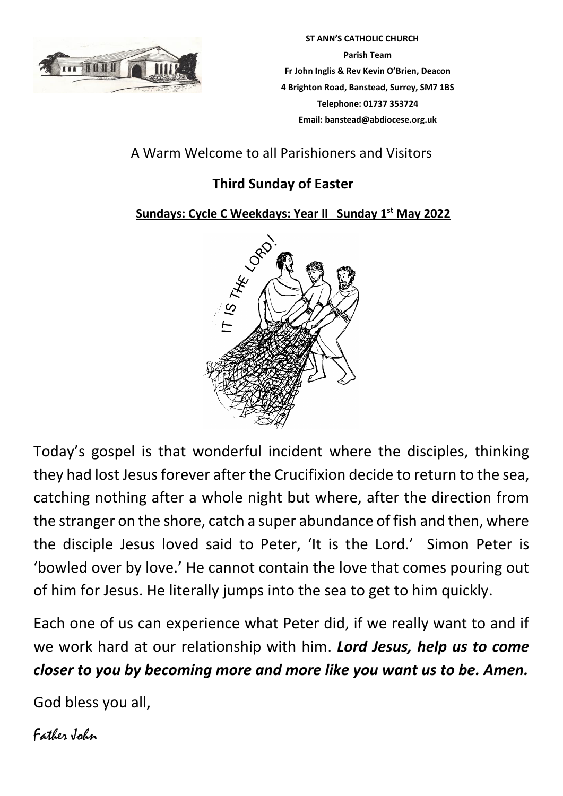

 **ST ANN'S CATHOLIC CHURCH Parish Team Fr John Inglis & Rev Kevin O'Brien, Deacon 4 Brighton Road, Banstead, Surrey, SM7 1BS Telephone: 01737 353724 Email: banstead@abdiocese.org.uk**

# A Warm Welcome to all Parishioners and Visitors

# **Third Sunday of Easter**

# **Sundays: Cycle C Weekdays: Year ll Sunday 1 st May 2022**



Today's gospel is that wonderful incident where the disciples, thinking they had lost Jesus forever after the Crucifixion decide to return to the sea, catching nothing after a whole night but where, after the direction from the stranger on the shore, catch a super abundance of fish and then, where the disciple Jesus loved said to Peter, 'It is the Lord.' Simon Peter is 'bowled over by love.' He cannot contain the love that comes pouring out of him for Jesus. He literally jumps into the sea to get to him quickly.

Each one of us can experience what Peter did, if we really want to and if we work hard at our relationship with him. *Lord Jesus, help us to come closer to you by becoming more and more like you want us to be. Amen.*

God bless you all,

Father John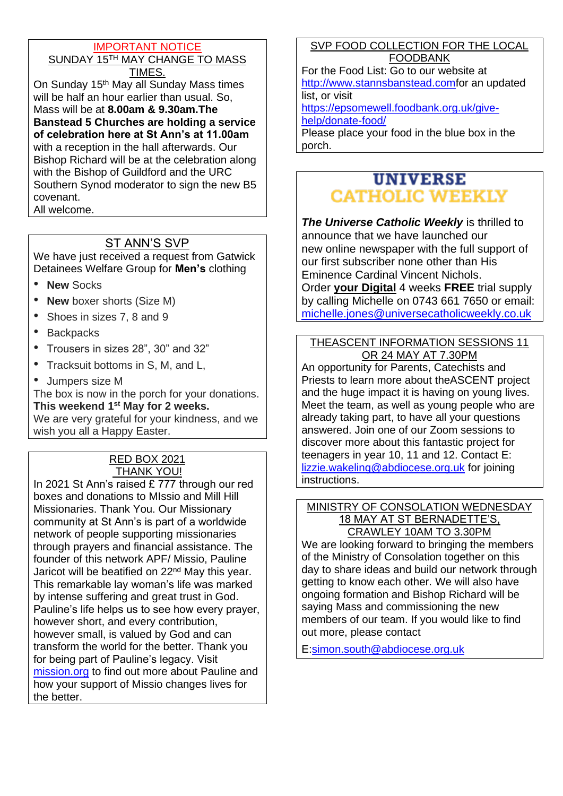#### IMPORTANT NOTICE SUNDAY 15<sup>TH</sup> MAY CHANGE TO MASS TIMES.

On Sunday 15<sup>th</sup> May all Sunday Mass times will be half an hour earlier than usual. So, Mass will be at **8.00am & 9.30am.The Banstead 5 Churches are holding a service of celebration here at St Ann's at 11.00am** with a reception in the hall afterwards. Our Bishop Richard will be at the celebration along with the Bishop of Guildford and the URC Southern Synod moderator to sign the new B5 covenant. All welcome.

# ST ANN'S SVP

We have just received a request from Gatwick Detainees Welfare Group for **Men's** clothing

- **New** Socks
- **New** boxer shorts (Size M)
- Shoes in sizes 7, 8 and 9
- **Backpacks**
- Trousers in sizes 28", 30" and 32"
- Tracksuit bottoms in S, M, and L,
- Jumpers size M

The box is now in the porch for your donations. **This weekend 1 st May for 2 weeks.** 

We are very grateful for your kindness, and we wish you all a Happy Easter.

#### RED BOX 2021 **THANK YOU!**

In 2021 St Ann's raised £ 777 through our red boxes and donations to MIssio and Mill Hill Missionaries. Thank You. Our Missionary community at St Ann's is part of a worldwide network of people supporting missionaries through prayers and financial assistance. The founder of this network APF/ Missio, Pauline Jaricot will be beatified on 22<sup>nd</sup> May this year. This remarkable lay woman's life was marked by intense suffering and great trust in God. Pauline's life helps us to see how every prayer, however short, and every contribution, however small, is valued by God and can transform the world for the better. Thank you for being part of Pauline's legacy. Visit [mission.org](https://eur02.safelinks.protection.outlook.com/?url=http%3A%2F%2Fmission.org%2F&data=04%7C01%7Cbanstead%40abdiocese.org.uk%7Ca626393323204e8b8ebe08da21d09ef8%7C2bf5dbc217ef4efca1c9ab2dc4edefd0%7C0%7C0%7C637859477153496858%7CUnknown%7CTWFpbGZsb3d8eyJWIjoiMC4wLjAwMDAiLCJQIjoiV2luMzIiLCJBTiI6Ik1haWwiLCJXVCI6Mn0%3D%7C1000&sdata=jXbrRpsA15VB%2FNZx9PbKtve9dlMsvar9ViDrjKl52fA%3D&reserved=0) to find out more about Pauline and how your support of Missio changes lives for the better.

## SVP FOOD COLLECTION FOR THE LOCAL FOODBANK

For the Food List: Go to our website at [http://www.stannsbanstead.comf](http://www.stannsbanstead.com/)or an updated list, or visit

[https://epsomewell.foodbank.org.uk/give](https://epsomewell.foodbank.org.uk/give-help/donate-food/)[help/donate-food/](https://epsomewell.foodbank.org.uk/give-help/donate-food/)

Please place your food in the blue box in the porch.

# **UNIVERSE CATHOLIC WEEKLY**

*The Universe Catholic Weekly* is thrilled to announce that we have launched our new online newspaper with the full support of our first subscriber none other than His Eminence Cardinal Vincent Nichols. Order **your Digital** 4 weeks **FREE** trial supply by calling Michelle on 0743 661 7650 or email: [michelle.jones@universecatholicweekly.co.uk](mailto:michelle.jones@universecatholicweekly.co.uk)

#### THEASCENT INFORMATION SESSIONS 11 OR 24 MAY AT 7.30PM

An opportunity for Parents, Catechists and Priests to learn more about theASCENT project and the huge impact it is having on young lives. Meet the team, as well as young people who are already taking part, to have all your questions answered. Join one of our Zoom sessions to discover more about this fantastic project for teenagers in year 10, 11 and 12. Contact E: [lizzie.wakeling@abdiocese.org.uk](mailto:lizzie.wakeling@abdiocese.org.uk) for joining instructions.

#### MINISTRY OF CONSOLATION WEDNESDAY 18 MAY AT ST BERNADETTE'S, CRAWLEY 10AM TO 3.30PM

We are looking forward to bringing the members of the Ministry of Consolation together on this day to share ideas and build our network through getting to know each other. We will also have ongoing formation and Bishop Richard will be saying Mass and commissioning the new members of our team. If you would like to find out more, please contact

E[:simon.south@abdiocese.org.uk](mailto:simon.south@abdiocese.org.uk)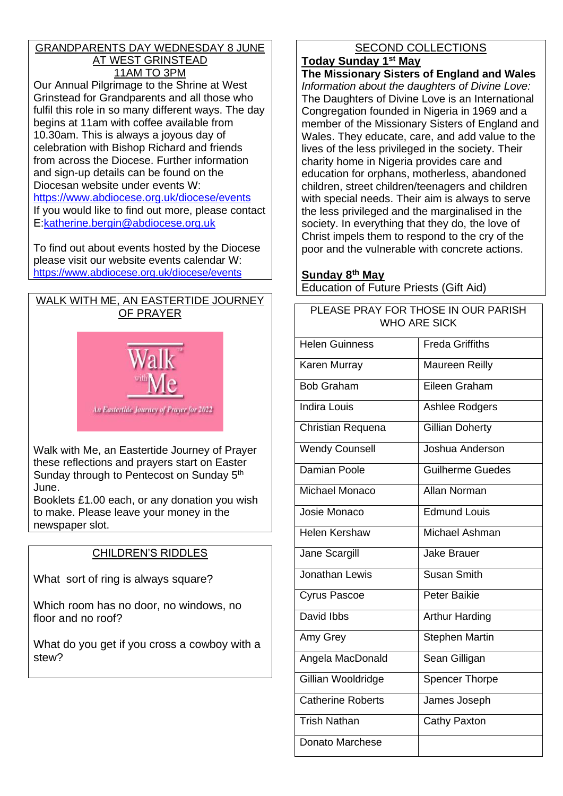#### GRANDPARENTS DAY WEDNESDAY 8 JUNE AT WEST GRINSTEAD 11AM TO 3PM

Our Annual Pilgrimage to the Shrine at West Grinstead for Grandparents and all those who fulfil this role in so many different ways. The day begins at 11am with coffee available from 10.30am. This is always a joyous day of celebration with Bishop Richard and friends from across the Diocese. Further information and sign-up details can be found on the Diocesan website under events W: <https://www.abdiocese.org.uk/diocese/events> If you would like to find out more, please contact E[:katherine.bergin@abdiocese.org.uk](mailto:katherine.bergin@abdiocese.org.uk)

To find out about events hosted by the Diocese please visit our website events calendar W: <https://www.abdiocese.org.uk/diocese/events>

# WALK WITH ME, AN EASTERTIDE JOURNEY OF PRAYER



Walk with Me, an Eastertide Journey of Prayer these reflections and prayers start on Easter Sunday through to Pentecost on Sunday 5<sup>th</sup> June.

Booklets £1.00 each, or any donation you wish to make. Please leave your money in the newspaper slot.

# CHILDREN'S RIDDLES

What sort of ring is always square?

Which room has no door, no windows, no floor and no roof?

What do you get if you cross a cowboy with a stew?

# SECOND COLLECTIONS

## **Today Sunday 1st May**

**The Missionary Sisters of England and Wales** *Information about the daughters of Divine Love:* The Daughters of Divine Love is an International Congregation founded in Nigeria in 1969 and a member of the Missionary Sisters of England and Wales. They educate, care, and add value to the lives of the less privileged in the society. Their charity home in Nigeria provides care and education for orphans, motherless, abandoned children, street children/teenagers and children with special needs. Their aim is always to serve the less privileged and the marginalised in the society. In everything that they do, the love of Christ impels them to respond to the cry of the poor and the vulnerable with concrete actions.

## **Sunday 8th May**

Education of Future Priests (Gift Aid)

PLEASE PRAY FOR THOSE IN OUR PARISH

| WHO ARE SICK             |                         |  |  |
|--------------------------|-------------------------|--|--|
| <b>Helen Guinness</b>    | <b>Freda Griffiths</b>  |  |  |
| Karen Murray             | <b>Maureen Reilly</b>   |  |  |
| <b>Bob Graham</b>        | Eileen Graham           |  |  |
| <b>Indira Louis</b>      | Ashlee Rodgers          |  |  |
| Christian Requena        | <b>Gillian Doherty</b>  |  |  |
| <b>Wendy Counsell</b>    | Joshua Anderson         |  |  |
| <b>Damian Poole</b>      | <b>Guilherme Guedes</b> |  |  |
| Michael Monaco           | <b>Allan Norman</b>     |  |  |
| Josie Monaco             | <b>Edmund Louis</b>     |  |  |
| Helen Kershaw            | Michael Ashman          |  |  |
| Jane Scargill            | <b>Jake Brauer</b>      |  |  |
| Jonathan Lewis           | <b>Susan Smith</b>      |  |  |
| <b>Cyrus Pascoe</b>      | <b>Peter Baikie</b>     |  |  |
| David Ibbs               | <b>Arthur Harding</b>   |  |  |
| Amy Grey                 | <b>Stephen Martin</b>   |  |  |
| Angela MacDonald         | Sean Gilligan           |  |  |
| Gillian Wooldridge       | <b>Spencer Thorpe</b>   |  |  |
| <b>Catherine Roberts</b> | James Joseph            |  |  |
| <b>Trish Nathan</b>      | Cathy Paxton            |  |  |
| Donato Marchese          |                         |  |  |